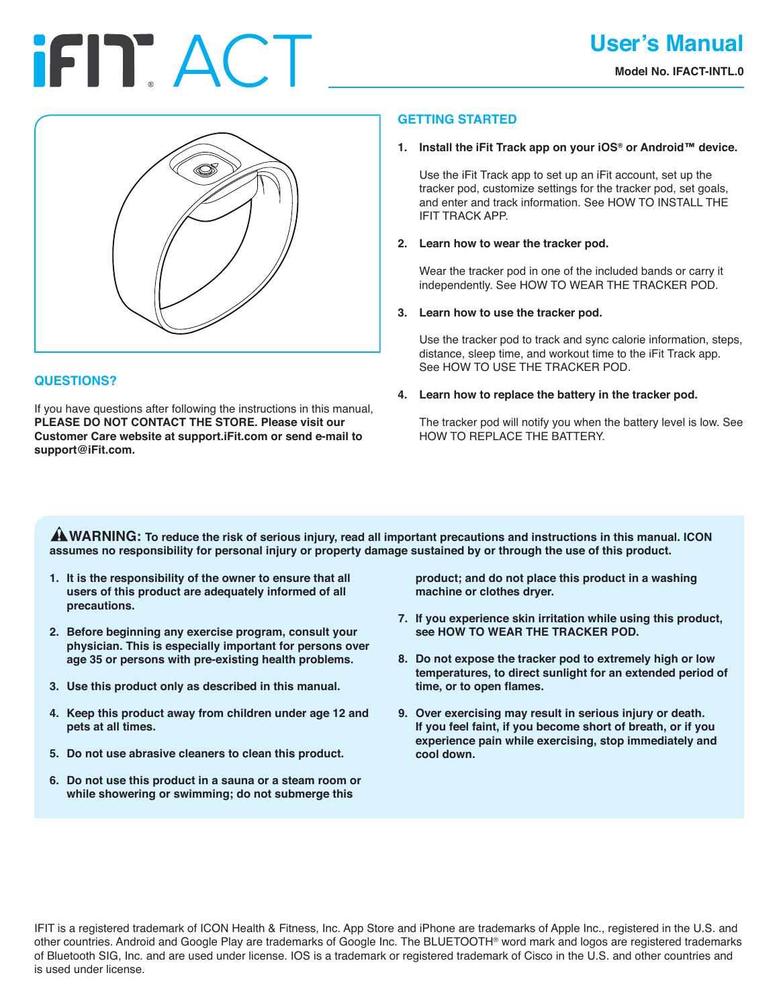# **IFIT ACT**



# **QUESTIONS?**

If you have questions after following the instructions in this manual, **PLEASE DO NOT CONTACT THE STORE. Please visit our Customer Care website at support.iFit.com or send e-mail to support@iFit.com.**

# **GETTING STARTED**

## **1. Install the iFit Track app on your iOS® or Android™ device.**

 Use the iFit Track app to set up an iFit account, set up the tracker pod, customize settings for the tracker pod, set goals, and enter and track information. See HOW TO INSTALL THE IFIT TRACK APP.

## **2. Learn how to wear the tracker pod.**

 Wear the tracker pod in one of the included bands or carry it independently. See HOW TO WEAR THE TRACKER POD.

## **3. Learn how to use the tracker pod.**

 Use the tracker pod to track and sync calorie information, steps, distance, sleep time, and workout time to the iFit Track app. See HOW TO USE THE TRACKER POD.

# **4. Learn how to replace the battery in the tracker pod.**

 The tracker pod will notify you when the battery level is low. See HOW TO REPLACE THE BATTERY.

**ANARNING:** To reduce the risk of serious injury, read all important precautions and instructions in this manual. ICON **assumes no responsibility for personal injury or property damage sustained by or through the use of this product.**

- **1. It is the responsibility of the owner to ensure that all users of this product are adequately informed of all precautions.**
- **2. Before beginning any exercise program, consult your physician. This is especially important for persons over age 35 or persons with pre-existing health problems.**
- **3. Use this product only as described in this manual.**
- **4. Keep this product away from children under age 12 and pets at all times.**
- **5. Do not use abrasive cleaners to clean this product.**
- **6. Do not use this product in a sauna or a steam room or while showering or swimming; do not submerge this**

**product; and do not place this product in a washing machine or clothes dryer.**

- **7. If you experience skin irritation while using this product, see HOW TO WEAR THE TRACKER POD.**
- **8. Do not expose the tracker pod to extremely high or low temperatures, to direct sunlight for an extended period of time, or to open flames.**
- **9. Over exercising may result in serious injury or death. If you feel faint, if you become short of breath, or if you experience pain while exercising, stop immediately and cool down.**

IFIT is a registered trademark of ICON Health & Fitness, Inc. App Store and iPhone are trademarks of Apple Inc., registered in the U.S. and other countries. Android and Google Play are trademarks of Google Inc. The BLUETOOTH® word mark and logos are registered trademarks of Bluetooth SIG, Inc. and are used under license. IOS is a trademark or registered trademark of Cisco in the U.S. and other countries and is used under license.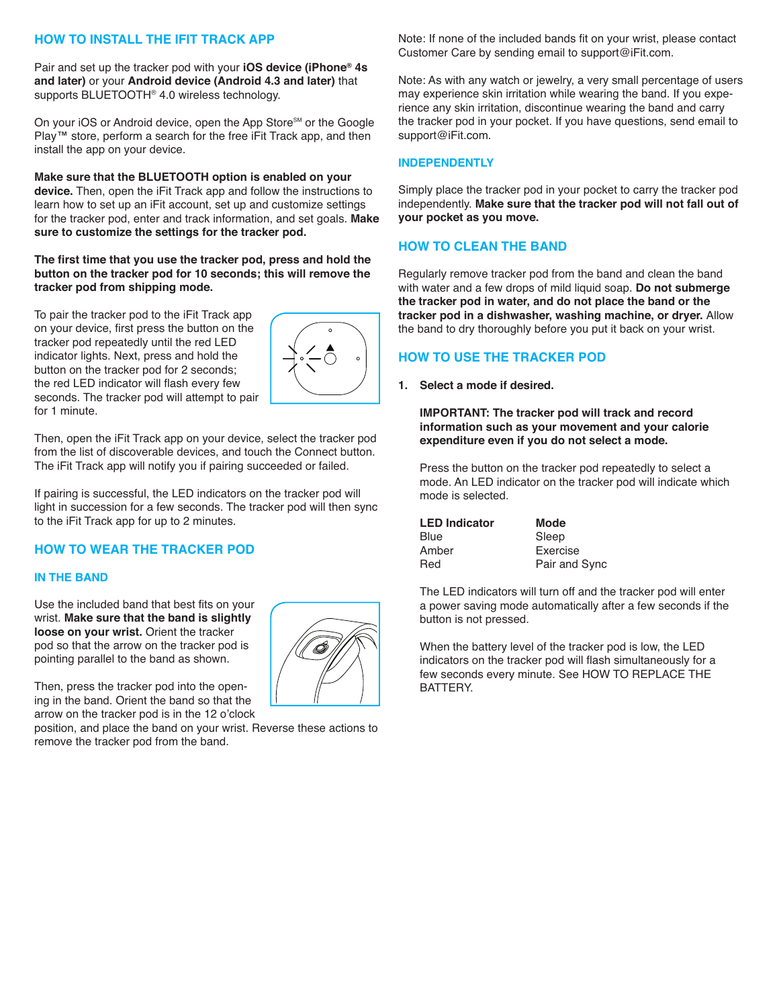# **HOW TO INSTALL THE IFIT TRACK APP**

Pair and set up the tracker pod with your **iOS device (iPhone® 4s and later)** or your **Android device (Android 4.3 and later)** that supports BLUETOOTH® 4.0 wireless technology.

On your iOS or Android device, open the App Store<sup>sM</sup> or the Google Play™ store, perform a search for the free iFit Track app, and then install the app on your device.

### **Make sure that the BLUETOOTH option is enabled on your**

**device.** Then, open the iFit Track app and follow the instructions to learn how to set up an iFit account, set up and customize settings for the tracker pod, enter and track information, and set goals. **Make sure to customize the settings for the tracker pod.**

**The first time that you use the tracker pod, press and hold the button on the tracker pod for 10 seconds; this will remove the tracker pod from shipping mode.**

To pair the tracker pod to the iFit Track app on your device, first press the button on the tracker pod repeatedly until the red LED indicator lights. Next, press and hold the button on the tracker pod for 2 seconds; the red LED indicator will flash every few seconds. The tracker pod will attempt to pair for 1 minute.



Then, open the iFit Track app on your device, select the tracker pod from the list of discoverable devices, and touch the Connect button. The iFit Track app will notify you if pairing succeeded or failed.

If pairing is successful, the LED indicators on the tracker pod will light in succession for a few seconds. The tracker pod will then sync to the iFit Track app for up to 2 minutes.

# **HOW TO WEAR THE TRACKER POD**

## **IN THE BAND**

Use the included band that best fits on your wrist. **Make sure that the band is slightly loose on your wrist.** Orient the tracker pod so that the arrow on the tracker pod is pointing parallel to the band as shown.

Then, press the tracker pod into the opening in the band. Orient the band so that the arrow on the tracker pod is in the 12 o'clock

position, and place the band on your wrist. Reverse these actions to remove the tracker pod from the band.



Note: If none of the included bands fit on your wrist, please contact Customer Care by sending email to support@iFit.com.

Note: As with any watch or jewelry, a very small percentage of users may experience skin irritation while wearing the band. If you experience any skin irritation, discontinue wearing the band and carry the tracker pod in your pocket. If you have questions, send email to support@iFit.com.

### **INDEPENDENTLY**

Simply place the tracker pod in your pocket to carry the tracker pod independently. **Make sure that the tracker pod will not fall out of your pocket as you move.**

# **HOW TO CLEAN THE BAND**

Regularly remove tracker pod from the band and clean the band with water and a few drops of mild liquid soap. **Do not submerge the tracker pod in water, and do not place the band or the tracker pod in a dishwasher, washing machine, or dryer.** Allow the band to dry thoroughly before you put it back on your wrist.

# **HOW TO USE THE TRACKER POD**

**1. Select a mode if desired.**

 **IMPORTANT: The tracker pod will track and record information such as your movement and your calorie expenditure even if you do not select a mode.**

 Press the button on the tracker pod repeatedly to select a mode. An LED indicator on the tracker pod will indicate which mode is selected.

| <b>Mode</b>   |
|---------------|
| Sleep         |
| Exercise      |
| Pair and Sync |
|               |

 The LED indicators will turn off and the tracker pod will enter a power saving mode automatically after a few seconds if the button is not pressed.

 When the battery level of the tracker pod is low, the LED indicators on the tracker pod will flash simultaneously for a few seconds every minute. See HOW TO REPLACE THE BATTERY.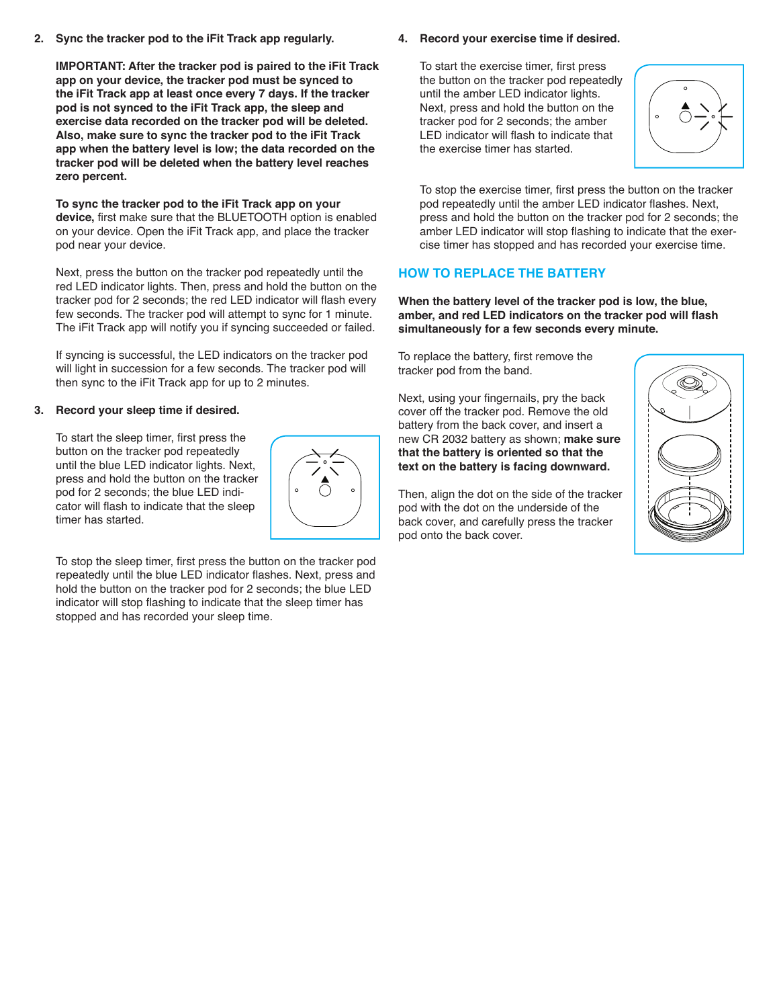**2. Sync the tracker pod to the iFit Track app regularly.**

 **IMPORTANT: After the tracker pod is paired to the iFit Track app on your device, the tracker pod must be synced to the iFit Track app at least once every 7 days. If the tracker pod is not synced to the iFit Track app, the sleep and exercise data recorded on the tracker pod will be deleted. Also, make sure to sync the tracker pod to the iFit Track app when the battery level is low; the data recorded on the tracker pod will be deleted when the battery level reaches zero percent.**

 **To sync the tracker pod to the iFit Track app on your device,** first make sure that the BLUETOOTH option is enabled on your device. Open the iFit Track app, and place the tracker pod near your device.

 Next, press the button on the tracker pod repeatedly until the red LED indicator lights. Then, press and hold the button on the tracker pod for 2 seconds; the red LED indicator will flash every few seconds. The tracker pod will attempt to sync for 1 minute. The iFit Track app will notify you if syncing succeeded or failed.

 If syncing is successful, the LED indicators on the tracker pod will light in succession for a few seconds. The tracker pod will then sync to the iFit Track app for up to 2 minutes.

## **3. Record your sleep time if desired.**

 To start the sleep timer, first press the button on the tracker pod repeatedly until the blue LED indicator lights. Next, press and hold the button on the tracker pod for 2 seconds; the blue LED indicator will flash to indicate that the sleep timer has started.



 To stop the sleep timer, first press the button on the tracker pod repeatedly until the blue LED indicator flashes. Next, press and hold the button on the tracker pod for 2 seconds; the blue LED indicator will stop flashing to indicate that the sleep timer has stopped and has recorded your sleep time.

## **4. Record your exercise time if desired.**

 To start the exercise timer, first press the button on the tracker pod repeatedly until the amber LED indicator lights. Next, press and hold the button on the tracker pod for 2 seconds; the amber LED indicator will flash to indicate that the exercise timer has started.



 To stop the exercise timer, first press the button on the tracker pod repeatedly until the amber LED indicator flashes. Next, press and hold the button on the tracker pod for 2 seconds; the amber LED indicator will stop flashing to indicate that the exercise timer has stopped and has recorded your exercise time.

# **HOW TO REPLACE THE BATTERY**

**When the battery level of the tracker pod is low, the blue, amber, and red LED indicators on the tracker pod will flash simultaneously for a few seconds every minute.**

To replace the battery, first remove the tracker pod from the band.

Next, using your fingernails, pry the back cover off the tracker pod. Remove the old battery from the back cover, and insert a new CR 2032 battery as shown; **make sure that the battery is oriented so that the text on the battery is facing downward.**

Then, align the dot on the side of the tracker pod with the dot on the underside of the back cover, and carefully press the tracker pod onto the back cover.